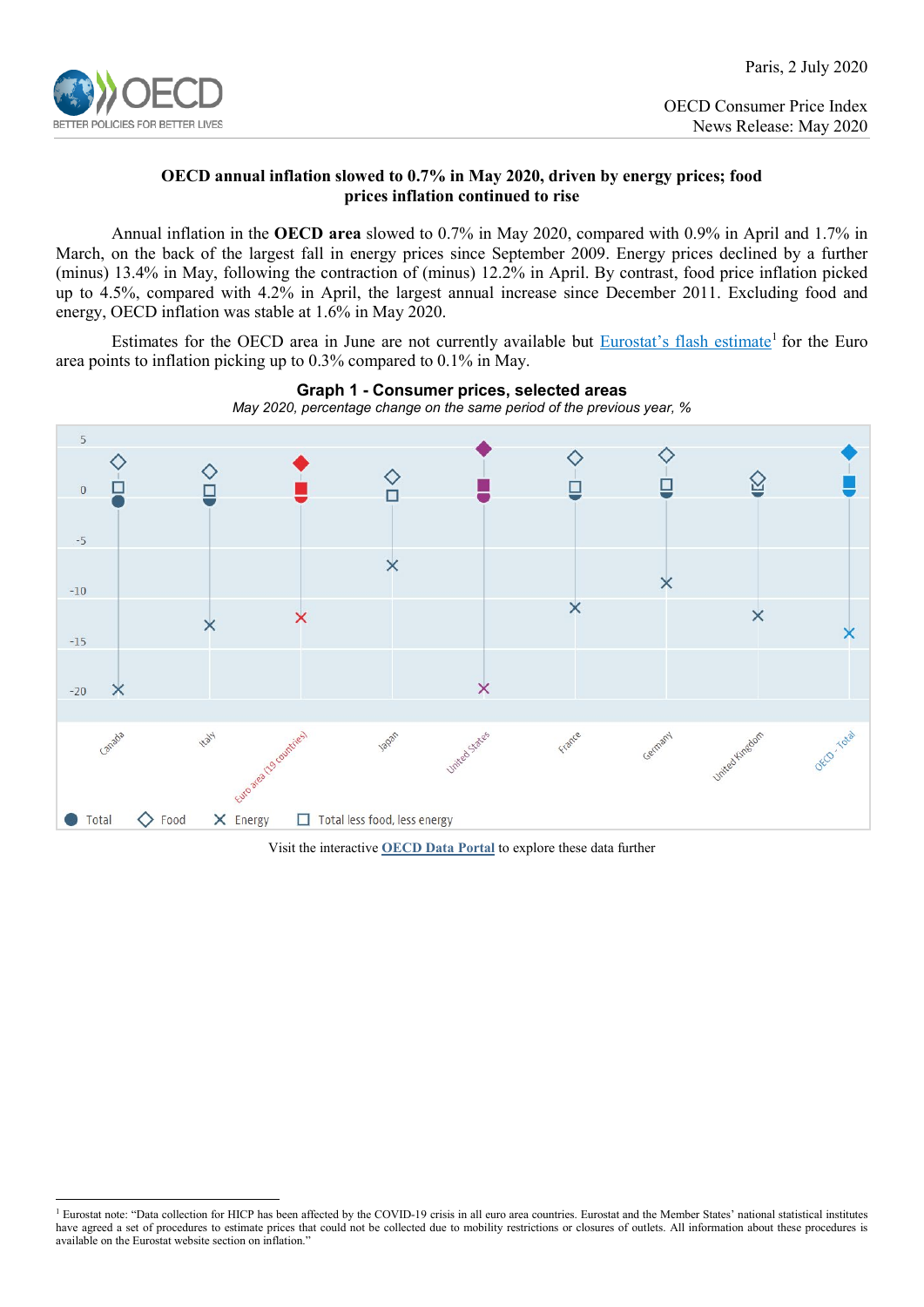

OECD Consumer Price Index News Release: May 2020

## **OECD annual inflation slowed to 0.7% in May 2020, driven by energy prices; food prices inflation continued to rise**

Annual inflation in the **OECD area** slowed to 0.7% in May 2020, compared with 0.9% in April and 1.7% in March, on the back of the largest fall in energy prices since September 2009. Energy prices declined by a further (minus) 13.4% in May, following the contraction of (minus) 12.2% in April. By contrast, food price inflation picked up to 4.5%, compared with 4.2% in April, the largest annual increase since December 2011. Excluding food and energy, OECD inflation was stable at 1.6% in May 2020.

Estimates for the OECD area in June are not currently available but Eurostat's [flash estimate](https://ec.europa.eu/eurostat/documents/2995521/10294972/2-30062020-AP-EN.pdf/4d9c6e1d-b92c-431d-384a-2ab18f6eeaa6)<sup>[1](#page-0-0)</sup> for the Euro area points to inflation picking up to 0.3% compared to 0.1% in May.



**Graph 1 - Consumer prices, selected areas** *May 2020, percentage change on the same period of the previous year, %*

Visit the interactive **[OECD Data Portal](https://data.oecd.org/chart/60X3)** to explore these data further

<span id="page-0-0"></span><sup>&</sup>lt;sup>1</sup> Eurostat note: "Data collection for HICP has been affected by the COVID-19 crisis in all euro area countries. Eurostat and the Member States' national statistical institutes have agreed a set of procedures to estimate prices that could not be collected due to mobility restrictions or closures of outlets. All information about these procedures is available on the Eurostat website section on inflation."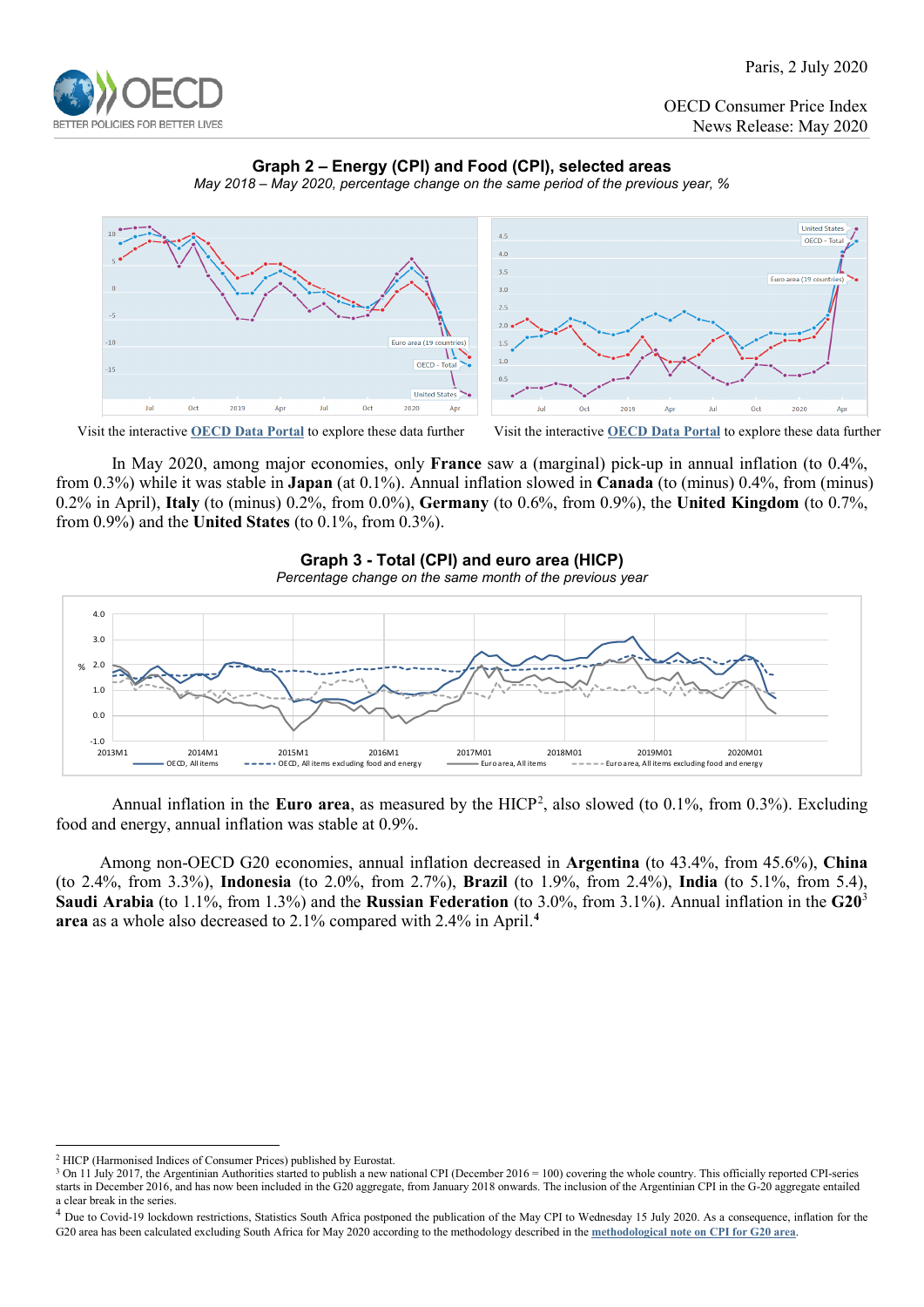

OECD Consumer Price Index News Release: May 2020

# **Graph 2 – Energy (CPI) and Food (CPI), selected areas**





Visit the interactive **[OECD Data Portal](https://data.oecd.org/chart/60X4)** to explore these data further Visit the interactive **[OECD Data Portal](https://data.oecd.org/chart/60X5)** to explore these data further

In May 2020, among major economies, only **France** saw a (marginal) pick-up in annual inflation (to 0.4%, from 0.3%) while it was stable in **Japan** (at 0.1%). Annual inflation slowed in **Canada** (to (minus) 0.4%, from (minus) 0.2% in April), **Italy** (to (minus) 0.2%, from 0.0%), **Germany** (to 0.6%, from 0.9%), the **United Kingdom** (to 0.7%, from 0.9%) and the **United States** (to 0.1%, from 0.3%).



Annual inflation in the **Euro area**, as measured by the HICP<sup>[2](#page-1-0)</sup>, also slowed (to 0.1%, from 0.3%). Excluding food and energy, annual inflation was stable at 0.9%.

Among non-OECD G20 economies, annual inflation decreased in **Argentina** (to 43.4%, from 45.6%), **China** (to 2.4%, from 3.3%), **Indonesia** (to 2.0%, from 2.7%), **Brazil** (to 1.9%, from 2.4%), **India** (to 5.1%, from 5.4), **Saudi Arabia** (to 1.1%, from 1.3%) and the **Russian Federation** (to 3.0%, from 3.1%). Annual inflation in the **G20**[3](#page-1-1) **area** as a whole also decreased to 2.1% compared with 2.4% in April. **[4](#page-1-2)**

<span id="page-1-0"></span> <sup>2</sup> HICP (Harmonised Indices of Consumer Prices) published by Eurostat.

<span id="page-1-1"></span><sup>&</sup>lt;sup>3</sup> On 11 July 2017, the Argentinian Authorities started to publish a new national CPI (December 2016 = 100) covering the whole country. This officially reported CPI-series starts in December 2016, and has now been included in the G20 aggregate, from January 2018 onwards. The inclusion of the Argentinian CPI in the G-20 aggregate entailed a clear break in the series.

<span id="page-1-2"></span><sup>&</sup>lt;sup>4</sup> Due to Covid-19 lockdown restrictions, Statistics South Africa postponed the publication of the May CPI to Wednesday 15 July 2020. As a consequence, inflation for the G20 area has been calculated excluding South Africa for May 2020 according to the methodology described in the **[methodological note on CPI for G20 area](http://www.oecd.org/sdd/prices-ppp/CPI-G20-methodology.pdf)**.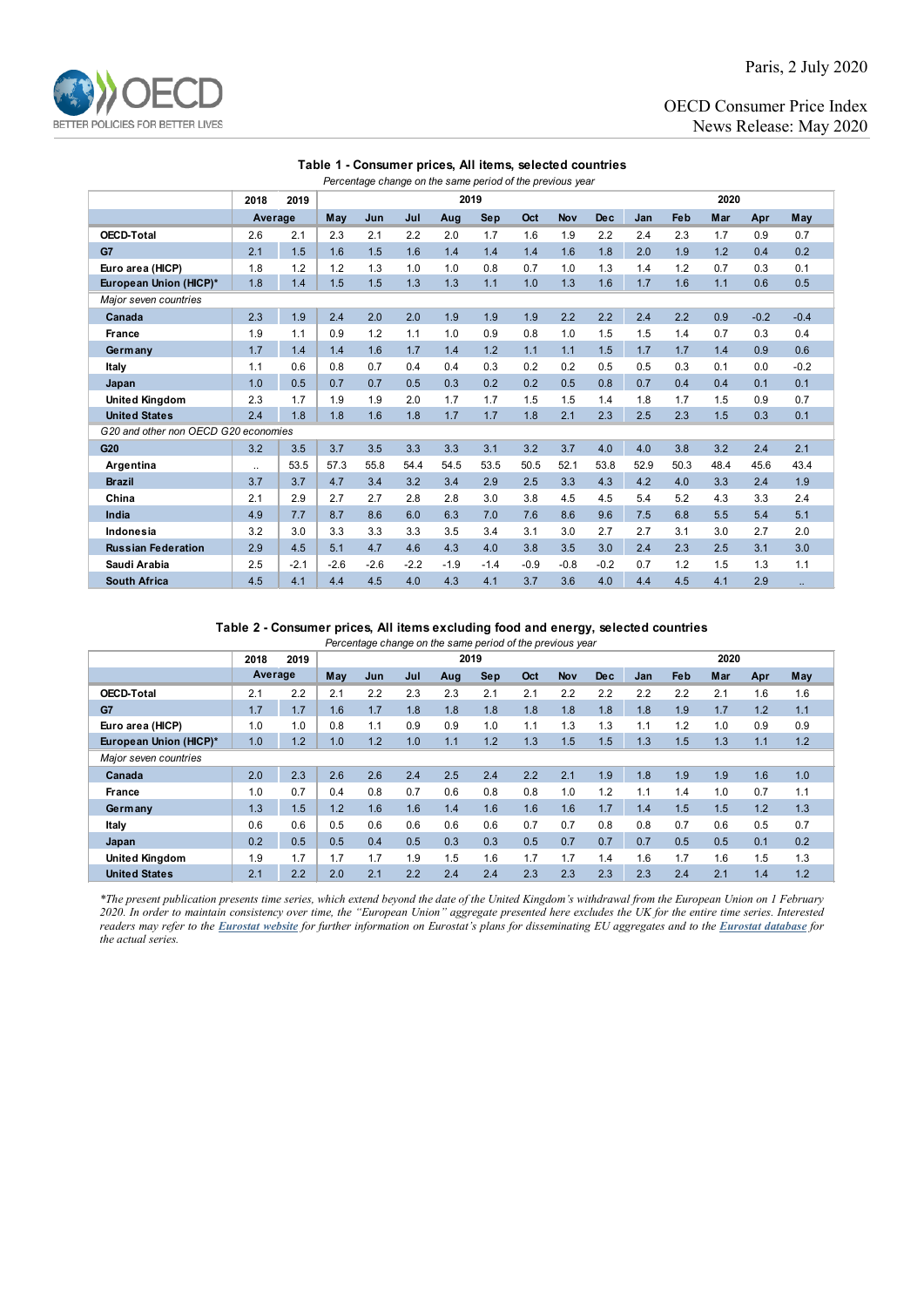

Paris, 2 July 2020

OECD Consumer Price Index News Release: May 2020

### **Table 1 - Consumer prices, All items, selected countries**

| Percentage change on the same period of the previous year |                      |        |        |        |        |        |            |        |            |            |      |      |      |        |        |
|-----------------------------------------------------------|----------------------|--------|--------|--------|--------|--------|------------|--------|------------|------------|------|------|------|--------|--------|
|                                                           | 2018                 | 2019   | 2019   |        |        |        |            |        |            | 2020       |      |      |      |        |        |
|                                                           | Average              |        | May    | Jun    | Jul    | Aug    | <b>Sep</b> | Oct    | <b>Nov</b> | <b>Dec</b> | Jan  | Feb  | Mar  | Apr    | May    |
| <b>OECD-Total</b>                                         | 2.6                  | 2.1    | 2.3    | 2.1    | 2.2    | 2.0    | 1.7        | 1.6    | 1.9        | 2.2        | 2.4  | 2.3  | 1.7  | 0.9    | 0.7    |
| G7                                                        | 2.1                  | 1.5    | 1.6    | 1.5    | 1.6    | 1.4    | 1.4        | 1.4    | 1.6        | 1.8        | 2.0  | 1.9  | 1.2  | 0.4    | 0.2    |
| Euro area (HICP)                                          | 1.8                  | 1.2    | 1.2    | 1.3    | 1.0    | 1.0    | 0.8        | 0.7    | 1.0        | 1.3        | 1.4  | 1.2  | 0.7  | 0.3    | 0.1    |
| European Union (HICP)*                                    | 1.8                  | 1.4    | 1.5    | 1.5    | 1.3    | 1.3    | 1.1        | 1.0    | 1.3        | 1.6        | 1.7  | 1.6  | 1.1  | 0.6    | 0.5    |
| Major seven countries                                     |                      |        |        |        |        |        |            |        |            |            |      |      |      |        |        |
| Canada                                                    | 2.3                  | 1.9    | 2.4    | 2.0    | 2.0    | 1.9    | 1.9        | 1.9    | 2.2        | 2.2        | 2.4  | 2.2  | 0.9  | $-0.2$ | $-0.4$ |
| <b>France</b>                                             | 1.9                  | 1.1    | 0.9    | 1.2    | 1.1    | 1.0    | 0.9        | 0.8    | 1.0        | 1.5        | 1.5  | 1.4  | 0.7  | 0.3    | 0.4    |
| Germany                                                   | 1.7                  | 1.4    | 1.4    | 1.6    | 1.7    | 1.4    | 1.2        | 1.1    | 1.1        | 1.5        | 1.7  | 1.7  | 1.4  | 0.9    | 0.6    |
| Italy                                                     | 1.1                  | 0.6    | 0.8    | 0.7    | 0.4    | 0.4    | 0.3        | 0.2    | 0.2        | 0.5        | 0.5  | 0.3  | 0.1  | 0.0    | $-0.2$ |
| Japan                                                     | 1.0                  | 0.5    | 0.7    | 0.7    | 0.5    | 0.3    | 0.2        | 0.2    | 0.5        | 0.8        | 0.7  | 0.4  | 0.4  | 0.1    | 0.1    |
| <b>United Kingdom</b>                                     | 2.3                  | 1.7    | 1.9    | 1.9    | 2.0    | 1.7    | 1.7        | 1.5    | 1.5        | 1.4        | 1.8  | 1.7  | 1.5  | 0.9    | 0.7    |
| <b>United States</b>                                      | 2.4                  | 1.8    | 1.8    | 1.6    | 1.8    | 1.7    | 1.7        | 1.8    | 2.1        | 2.3        | 2.5  | 2.3  | 1.5  | 0.3    | 0.1    |
| G20 and other non OECD G20 economies                      |                      |        |        |        |        |        |            |        |            |            |      |      |      |        |        |
| G20                                                       | 3.2                  | 3.5    | 3.7    | 3.5    | 3.3    | 3.3    | 3.1        | 3.2    | 3.7        | 4.0        | 4.0  | 3.8  | 3.2  | 2.4    | 2.1    |
| Argentina                                                 | $\ddot{\phantom{a}}$ | 53.5   | 57.3   | 55.8   | 54.4   | 54.5   | 53.5       | 50.5   | 52.1       | 53.8       | 52.9 | 50.3 | 48.4 | 45.6   | 43.4   |
| <b>Brazil</b>                                             | 3.7                  | 3.7    | 4.7    | 3.4    | 3.2    | 3.4    | 2.9        | 2.5    | 3.3        | 4.3        | 4.2  | 4.0  | 3.3  | 2.4    | 1.9    |
| China                                                     | 2.1                  | 2.9    | 2.7    | 2.7    | 2.8    | 2.8    | 3.0        | 3.8    | 4.5        | 4.5        | 5.4  | 5.2  | 4.3  | 3.3    | 2.4    |
| India                                                     | 4.9                  | 7.7    | 8.7    | 8.6    | 6.0    | 6.3    | 7.0        | 7.6    | 8.6        | 9.6        | 7.5  | 6.8  | 5.5  | 5.4    | 5.1    |
| Indonesia                                                 | 3.2                  | 3.0    | 3.3    | 3.3    | 3.3    | 3.5    | 3.4        | 3.1    | 3.0        | 2.7        | 2.7  | 3.1  | 3.0  | 2.7    | 2.0    |
| <b>Russian Federation</b>                                 | 2.9                  | 4.5    | 5.1    | 4.7    | 4.6    | 4.3    | 4.0        | 3.8    | 3.5        | 3.0        | 2.4  | 2.3  | 2.5  | 3.1    | 3.0    |
| Saudi Arabia                                              | 2.5                  | $-2.1$ | $-2.6$ | $-2.6$ | $-2.2$ | $-1.9$ | $-1.4$     | $-0.9$ | $-0.8$     | $-0.2$     | 0.7  | 1.2  | 1.5  | 1.3    | 1.1    |
| <b>South Africa</b>                                       | 4.5                  | 4.1    | 4.4    | 4.5    | 4.0    | 4.3    | 4.1        | 3.7    | 3.6        | 4.0        | 4.4  | 4.5  | 4.1  | 2.9    |        |

#### **Table 2 - Consumer prices, All items excluding food and energy, selected countries**

*Percentage change on the same period of the previous year*

|                        | 2018    | 2019 | 2019 |     |     |     |            |     |            | 2020       |     |     |     |     |     |
|------------------------|---------|------|------|-----|-----|-----|------------|-----|------------|------------|-----|-----|-----|-----|-----|
|                        | Average |      | May  | Jun | Jul | Aug | <b>Sep</b> | Oct | <b>Nov</b> | <b>Dec</b> | Jan | Feb | Mar | Apr | May |
| <b>OECD-Total</b>      | 2.1     | 2.2  | 2.1  | 2.2 | 2.3 | 2.3 | 2.1        | 2.1 | 2.2        | 2.2        | 2.2 | 2.2 | 2.1 | 1.6 | 1.6 |
| G7                     | 1.7     | 1.7  | 1.6  | 1.7 | 1.8 | 1.8 | 1.8        | 1.8 | 1.8        | 1.8        | 1.8 | 1.9 | 1.7 | 1.2 | 1.1 |
| Euro area (HICP)       | 1.0     | 1.0  | 0.8  | 1.1 | 0.9 | 0.9 | 1.0        | 1.1 | 1.3        | 1.3        | 1.1 | 1.2 | 1.0 | 0.9 | 0.9 |
| European Union (HICP)* | 1.0     | 1.2  | 1.0  | 1.2 | 1.0 | 1.1 | 1.2        | 1.3 | 1.5        | 1.5        | 1.3 | 1.5 | 1.3 | 1.1 | 1.2 |
| Major seven countries  |         |      |      |     |     |     |            |     |            |            |     |     |     |     |     |
| Canada                 | 2.0     | 2.3  | 2.6  | 2.6 | 2.4 | 2.5 | 2.4        | 2.2 | 2.1        | 1.9        | 1.8 | 1.9 | 1.9 | 1.6 | 1.0 |
| France                 | 1.0     | 0.7  | 0.4  | 0.8 | 0.7 | 0.6 | 0.8        | 0.8 | 1.0        | 1.2        | 1.1 | 1.4 | 1.0 | 0.7 | 1.1 |
| Germany                | 1.3     | 1.5  | 1.2  | 1.6 | 1.6 | 1.4 | 1.6        | 1.6 | 1.6        | 1.7        | 1.4 | 1.5 | 1.5 | 1.2 | 1.3 |
| Italy                  | 0.6     | 0.6  | 0.5  | 0.6 | 0.6 | 0.6 | 0.6        | 0.7 | 0.7        | 0.8        | 0.8 | 0.7 | 0.6 | 0.5 | 0.7 |
| Japan                  | 0.2     | 0.5  | 0.5  | 0.4 | 0.5 | 0.3 | 0.3        | 0.5 | 0.7        | 0.7        | 0.7 | 0.5 | 0.5 | 0.1 | 0.2 |
| <b>United Kingdom</b>  | 1.9     | 1.7  | 1.7  | 1.7 | 1.9 | 1.5 | 1.6        | 1.7 | 1.7        | 1.4        | 1.6 | 1.7 | 1.6 | 1.5 | 1.3 |
| <b>United States</b>   | 2.1     | 2.2  | 2.0  | 2.1 | 2.2 | 2.4 | 2.4        | 2.3 | 2.3        | 2.3        | 2.3 | 2.4 | 2.1 | 1.4 | 1.2 |

*\*The present publication presents time series, which extend beyond the date of the United Kingdom's withdrawal from the European Union on 1 February 2020. In order to maintain consistency over time, the "European Union" aggregate presented here excludes the UK for the entire time series. Interested readers may refer to the [Eurostat website](https://ec.europa.eu/eurostat/help/faq/brexit) for further information on Eurostat's plans for disseminating EU aggregates and to the [Eurostat database](https://ec.europa.eu/eurostat/data/database) for the actual series.*